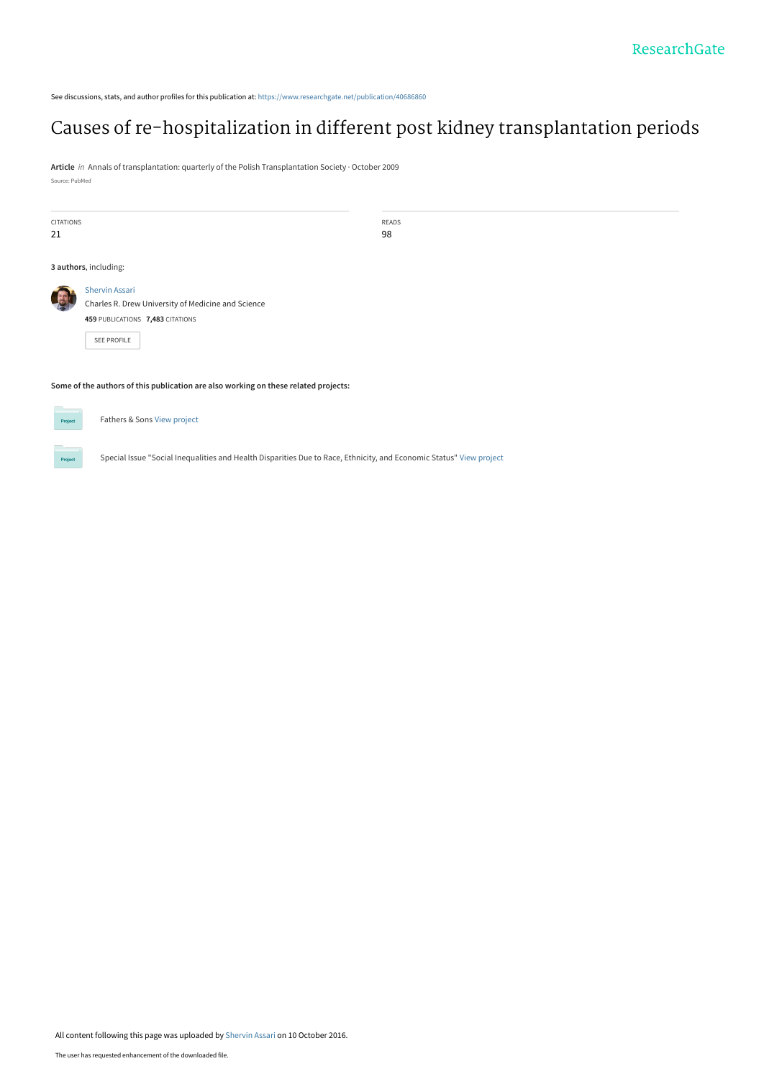See discussions, stats, and author profiles for this publication at: [https://www.researchgate.net/publication/40686860](https://www.researchgate.net/publication/40686860_Causes_of_re-hospitalization_in_different_post_kidney_transplantation_periods?enrichId=rgreq-2f43b26d07edad09d5023d78b0ca5d7a-XXX&enrichSource=Y292ZXJQYWdlOzQwNjg2ODYwO0FTOjQxNTY2Njk0MDIwMzAwOEAxNDc2MTE0MTI5MTE1&el=1_x_2&_esc=publicationCoverPdf)

# [Causes of re-hospitalization in different post kidney transplantation periods](https://www.researchgate.net/publication/40686860_Causes_of_re-hospitalization_in_different_post_kidney_transplantation_periods?enrichId=rgreq-2f43b26d07edad09d5023d78b0ca5d7a-XXX&enrichSource=Y292ZXJQYWdlOzQwNjg2ODYwO0FTOjQxNTY2Njk0MDIwMzAwOEAxNDc2MTE0MTI5MTE1&el=1_x_3&_esc=publicationCoverPdf)

**Article** in Annals of transplantation: quarterly of the Polish Transplantation Society · October 2009 Source: PubMed

| <b>CITATIONS</b>                                                                    |                                                                                                                                       | READS |  |  |  |  |
|-------------------------------------------------------------------------------------|---------------------------------------------------------------------------------------------------------------------------------------|-------|--|--|--|--|
| 21                                                                                  |                                                                                                                                       | 98    |  |  |  |  |
| 3 authors, including:                                                               |                                                                                                                                       |       |  |  |  |  |
|                                                                                     | <b>Shervin Assari</b><br>Charles R. Drew University of Medicine and Science<br>459 PUBLICATIONS 7,483 CITATIONS<br><b>SEE PROFILE</b> |       |  |  |  |  |
| Some of the authors of this publication are also working on these related projects: |                                                                                                                                       |       |  |  |  |  |



Fathers & Sons [View project](https://www.researchgate.net/project/Fathers-Sons?enrichId=rgreq-2f43b26d07edad09d5023d78b0ca5d7a-XXX&enrichSource=Y292ZXJQYWdlOzQwNjg2ODYwO0FTOjQxNTY2Njk0MDIwMzAwOEAxNDc2MTE0MTI5MTE1&el=1_x_9&_esc=publicationCoverPdf)

Special Issue "Social Inequalities and Health Disparities Due to Race, Ethnicity, and Economic Status" [View project](https://www.researchgate.net/project/Special-Issue-Social-Inequalities-and-Health-Disparities-Due-to-Race-Ethnicity-and-Economic-Status?enrichId=rgreq-2f43b26d07edad09d5023d78b0ca5d7a-XXX&enrichSource=Y292ZXJQYWdlOzQwNjg2ODYwO0FTOjQxNTY2Njk0MDIwMzAwOEAxNDc2MTE0MTI5MTE1&el=1_x_9&_esc=publicationCoverPdf)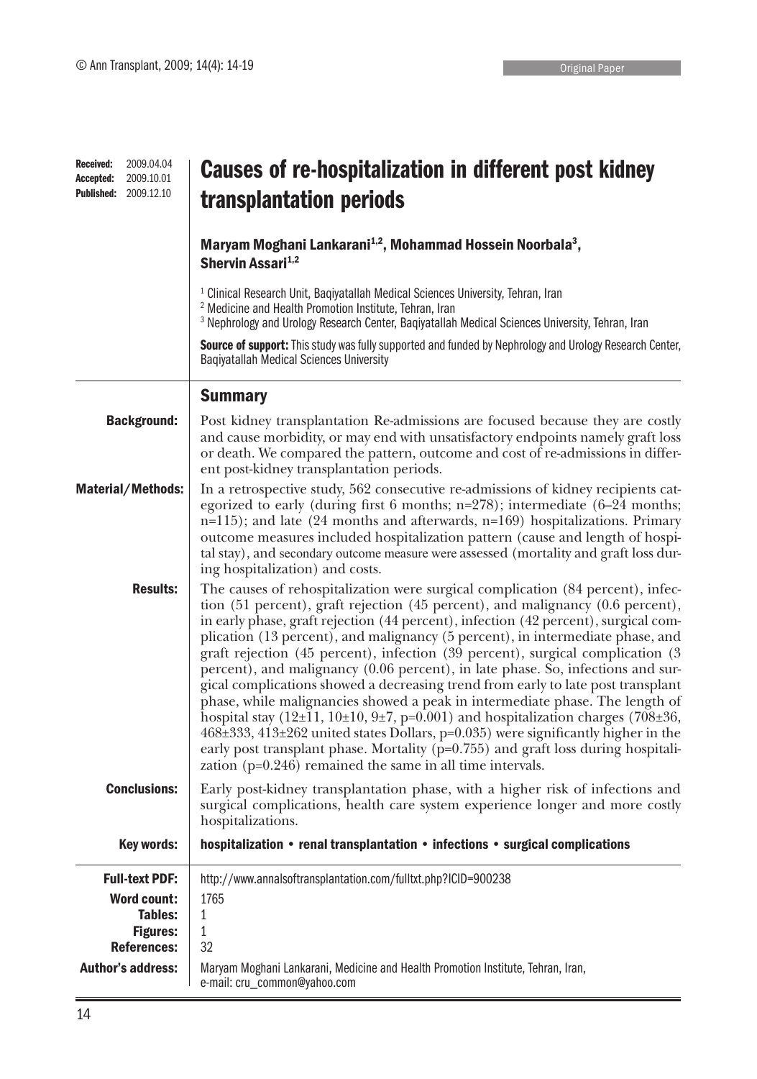| <b>Received:</b><br>Accepted:<br><b>Published:</b> | 2009.04.04<br>2009.10.01<br>2009.12.10                                 | Causes of re-hospitalization in different post kidney<br>transplantation periods                                                                                                                                                                                                                                                                                                                                                                                                                                                                                                                                                                                                                                                                                                                                                                                                                                                                                                                                                         |  |  |  |  |  |
|----------------------------------------------------|------------------------------------------------------------------------|------------------------------------------------------------------------------------------------------------------------------------------------------------------------------------------------------------------------------------------------------------------------------------------------------------------------------------------------------------------------------------------------------------------------------------------------------------------------------------------------------------------------------------------------------------------------------------------------------------------------------------------------------------------------------------------------------------------------------------------------------------------------------------------------------------------------------------------------------------------------------------------------------------------------------------------------------------------------------------------------------------------------------------------|--|--|--|--|--|
|                                                    |                                                                        | Maryam Moghani Lankarani <sup>1,2</sup> , Mohammad Hossein Noorbala <sup>3</sup> ,<br>Shervin Assari <sup>1,2</sup>                                                                                                                                                                                                                                                                                                                                                                                                                                                                                                                                                                                                                                                                                                                                                                                                                                                                                                                      |  |  |  |  |  |
|                                                    |                                                                        | <sup>1</sup> Clinical Research Unit, Baqiyatallah Medical Sciences University, Tehran, Iran<br><sup>2</sup> Medicine and Health Promotion Institute, Tehran, Iran<br><sup>3</sup> Nephrology and Urology Research Center, Baqiyatallah Medical Sciences University, Tehran, Iran                                                                                                                                                                                                                                                                                                                                                                                                                                                                                                                                                                                                                                                                                                                                                         |  |  |  |  |  |
|                                                    |                                                                        | Source of support: This study was fully supported and funded by Nephrology and Urology Research Center,<br><b>Baqiyatallah Medical Sciences University</b>                                                                                                                                                                                                                                                                                                                                                                                                                                                                                                                                                                                                                                                                                                                                                                                                                                                                               |  |  |  |  |  |
|                                                    |                                                                        | <b>Summary</b>                                                                                                                                                                                                                                                                                                                                                                                                                                                                                                                                                                                                                                                                                                                                                                                                                                                                                                                                                                                                                           |  |  |  |  |  |
| <b>Background:</b>                                 |                                                                        | Post kidney transplantation Re-admissions are focused because they are costly<br>and cause morbidity, or may end with unsatisfactory endpoints namely graft loss<br>or death. We compared the pattern, outcome and cost of re-admissions in differ-<br>ent post-kidney transplantation periods.                                                                                                                                                                                                                                                                                                                                                                                                                                                                                                                                                                                                                                                                                                                                          |  |  |  |  |  |
| <b>Material/Methods:</b>                           |                                                                        | In a retrospective study, 562 consecutive re-admissions of kidney recipients cat-<br>egorized to early (during first 6 months; $n=278$ ); intermediate (6-24 months;<br>$n=115$ ); and late (24 months and afterwards, $n=169$ ) hospitalizations. Primary<br>outcome measures included hospitalization pattern (cause and length of hospi-<br>tal stay), and secondary outcome measure were assessed (mortality and graft loss dur-<br>ing hospitalization) and costs.                                                                                                                                                                                                                                                                                                                                                                                                                                                                                                                                                                  |  |  |  |  |  |
|                                                    | <b>Results:</b>                                                        | The causes of rehospitalization were surgical complication (84 percent), infec-<br>tion (51 percent), graft rejection (45 percent), and malignancy (0.6 percent),<br>in early phase, graft rejection (44 percent), infection (42 percent), surgical com-<br>plication (13 percent), and malignancy (5 percent), in intermediate phase, and<br>graft rejection (45 percent), infection (39 percent), surgical complication (3<br>percent), and malignancy (0.06 percent), in late phase. So, infections and sur-<br>gical complications showed a decreasing trend from early to late post transplant<br>phase, while malignancies showed a peak in intermediate phase. The length of<br>hospital stay $(12\pm 11, 10\pm 10, 9\pm 7, p=0.001)$ and hospitalization charges $(708\pm 36, p=0.001)$<br>468±333, 413±262 united states Dollars, p=0.035) were significantly higher in the<br>early post transplant phase. Mortality (p=0.755) and graft loss during hospitali-<br>zation $(p=0.246)$ remained the same in all time intervals. |  |  |  |  |  |
| <b>Conclusions:</b>                                |                                                                        | Early post-kidney transplantation phase, with a higher risk of infections and<br>surgical complications, health care system experience longer and more costly<br>hospitalizations.                                                                                                                                                                                                                                                                                                                                                                                                                                                                                                                                                                                                                                                                                                                                                                                                                                                       |  |  |  |  |  |
|                                                    | <b>Key words:</b>                                                      | hospitalization • renal transplantation • infections • surgical complications                                                                                                                                                                                                                                                                                                                                                                                                                                                                                                                                                                                                                                                                                                                                                                                                                                                                                                                                                            |  |  |  |  |  |
| <b>Full-text PDF:</b><br><b>Author's address:</b>  | <b>Word count:</b><br>Tables:<br><b>Figures:</b><br><b>References:</b> | http://www.annalsoftransplantation.com/fulltxt.php?ICID=900238<br>1765<br>$\mathbf{1}$<br>$\mathbf{1}$<br>32<br>Maryam Moghani Lankarani, Medicine and Health Promotion Institute, Tehran, Iran,<br>e-mail: cru_common@yahoo.com                                                                                                                                                                                                                                                                                                                                                                                                                                                                                                                                                                                                                                                                                                                                                                                                         |  |  |  |  |  |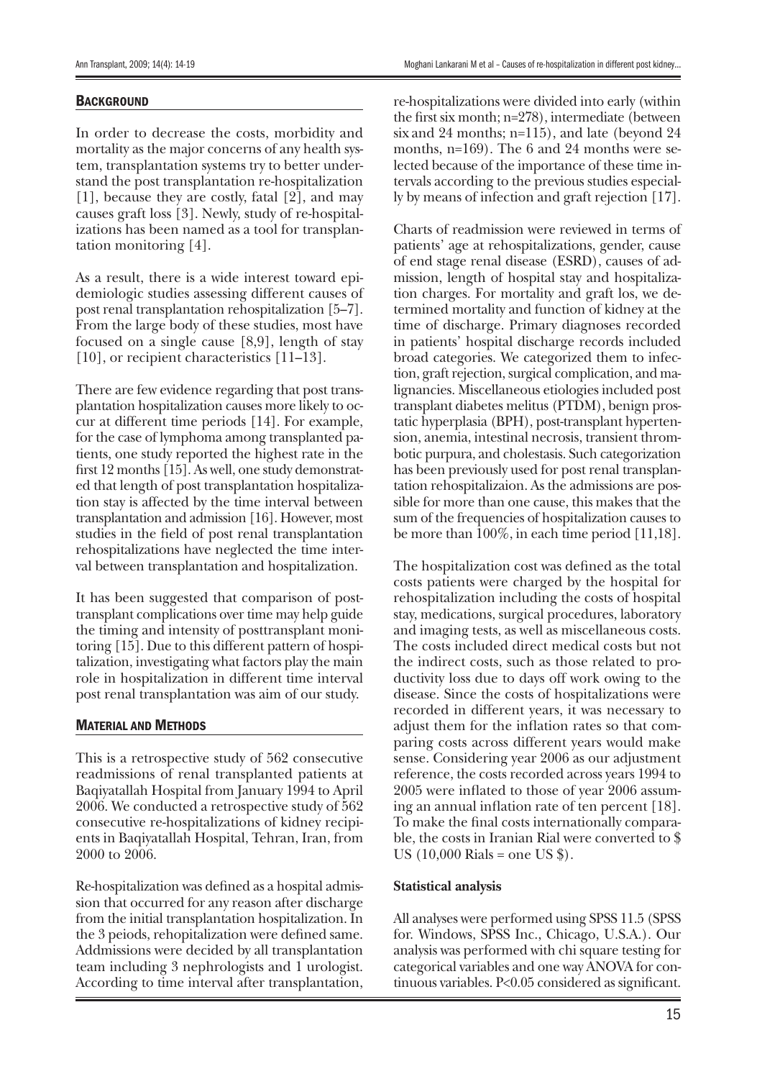### **BACKGROUND**

In order to decrease the costs, morbidity and mortality as the major concerns of any health system, transplantation systems try to better understand the post transplantation re-hospitalization [1], because they are costly, fatal [2], and may causes graft loss [3]. Newly, study of re-hospitalizations has been named as a tool for transplantation monitoring [4].

As a result, there is a wide interest toward epidemiologic studies assessing different causes of post renal transplantation rehospitalization [5–7]. From the large body of these studies, most have focused on a single cause [8,9], length of stay [10], or recipient characteristics [11–13].

There are few evidence regarding that post transplantation hospitalization causes more likely to occur at different time periods [14]. For example, for the case of lymphoma among transplanted patients, one study reported the highest rate in the first 12 months [15]. As well, one study demonstrated that length of post transplantation hospitalization stay is affected by the time interval between transplantation and admission [16]. However, most studies in the field of post renal transplantation rehospitalizations have neglected the time interval between transplantation and hospitalization.

It has been suggested that comparison of posttransplant complications over time may help guide the timing and intensity of posttransplant monitoring [15]. Due to this different pattern of hospitalization, investigating what factors play the main role in hospitalization in different time interval post renal transplantation was aim of our study.

#### Material and Methods

This is a retrospective study of 562 consecutive readmissions of renal transplanted patients at Baqiyatallah Hospital from January 1994 to April 2006. We conducted a retrospective study of 562 consecutive re-hospitalizations of kidney recipients in Baqiyatallah Hospital, Tehran, Iran, from 2000 to 2006.

Re-hospitalization was defined as a hospital admission that occurred for any reason after discharge from the initial transplantation hospitalization. In the 3 peiods, rehopitalization were defined same. Addmissions were decided by all transplantation team including 3 nephrologists and 1 urologist. According to time interval after transplantation,

re-hospitalizations were divided into early (within the first six month; n=278), intermediate (between six and 24 months; n=115), and late (beyond 24 months, n=169). The 6 and 24 months were selected because of the importance of these time intervals according to the previous studies especially by means of infection and graft rejection [17].

Charts of readmission were reviewed in terms of patients' age at rehospitalizations, gender, cause of end stage renal disease (ESRD), causes of admission, length of hospital stay and hospitalization charges. For mortality and graft los, we determined mortality and function of kidney at the time of discharge. Primary diagnoses recorded in patients' hospital discharge records included broad categories. We categorized them to infection, graft rejection, surgical complication, and malignancies. Miscellaneous etiologies included post transplant diabetes melitus (PTDM), benign prostatic hyperplasia (BPH), post-transplant hypertension, anemia, intestinal necrosis, transient thrombotic purpura, and cholestasis. Such categorization has been previously used for post renal transplantation rehospitalizaion. As the admissions are possible for more than one cause, this makes that the sum of the frequencies of hospitalization causes to be more than 100%, in each time period [11,18].

The hospitalization cost was defined as the total costs patients were charged by the hospital for rehospitalization including the costs of hospital stay, medications, surgical procedures, laboratory and imaging tests, as well as miscellaneous costs. The costs included direct medical costs but not the indirect costs, such as those related to productivity loss due to days off work owing to the disease. Since the costs of hospitalizations were recorded in different years, it was necessary to adjust them for the inflation rates so that comparing costs across different years would make sense. Considering year 2006 as our adjustment reference, the costs recorded across years 1994 to 2005 were inflated to those of year 2006 assuming an annual inflation rate of ten percent [18]. To make the final costs internationally comparable, the costs in Iranian Rial were converted to \$ US  $(10,000 \text{ Rials} = \text{one US }$ \$).

## **Statistical analysis**

All analyses were performed using SPSS 11.5 (SPSS for. Windows, SPSS Inc., Chicago, U.S.A.). Our analysis was performed with chi square testing for categorical variables and one way ANOVA for continuous variables. P<0.05 considered as significant.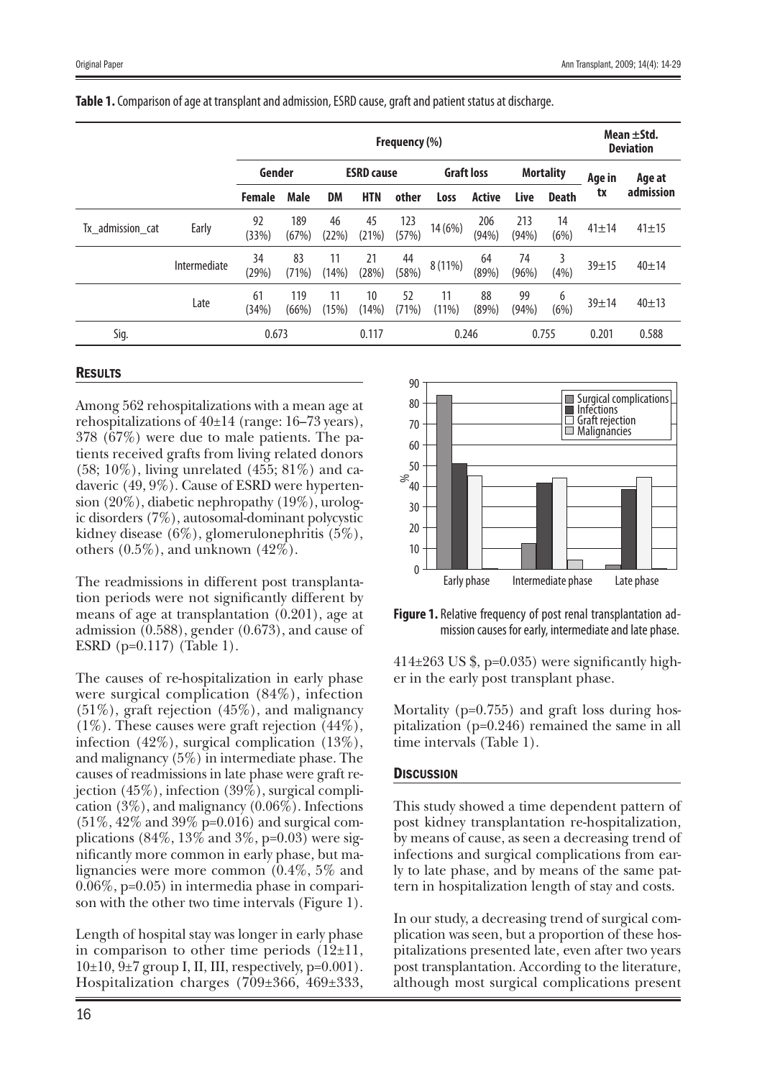|                  |              | Frequency (%) |              |                   |             |                   |             |                  |              |              | Mean $\pm$ Std.<br><b>Deviation</b> |             |
|------------------|--------------|---------------|--------------|-------------------|-------------|-------------------|-------------|------------------|--------------|--------------|-------------------------------------|-------------|
|                  |              | Gender        |              | <b>ESRD cause</b> |             | <b>Graft loss</b> |             | <b>Mortality</b> |              | Age in       | Age at                              |             |
|                  |              | <b>Female</b> | <b>Male</b>  | <b>DM</b>         | <b>HTN</b>  | other             | Loss        | <b>Active</b>    | Live         | <b>Death</b> | tx                                  | admission   |
| Tx_admission_cat | Early        | 92<br>(33%)   | 189<br>(67%) | 46<br>(22%)       | 45<br>(21%) | 123<br>(57%)      | 14 (6%)     | 206<br>(94%)     | 213<br>(94%) | 14<br>(6%)   | $41 \pm 14$                         | $41 \pm 15$ |
|                  | Intermediate | 34<br>(29%)   | 83<br>(71%)  | 11<br>(14%)       | 21<br>(28%) | 44<br>(58%)       | 8 (11%)     | 64<br>(89%)      | 74<br>(96%)  | 3<br>(4% )   | $39 + 15$                           | $40 + 14$   |
|                  | Late         | 61<br>(34%)   | 119<br>(66%) | 11<br>(15%)       | 10<br>(14%) | 52<br>(71%)       | 11<br>(11%) | 88<br>(89%)      | 99<br>(94%)  | 6<br>(6%)    | 39±14                               | $40 + 13$   |
| Sig.             | 0.673        |               |              | 0.117<br>0.246    |             |                   | 0.755       |                  | 0.201        | 0.588        |                                     |             |

#### **Table 1.**Comparison of age at transplant and admission, ESRD cause, graft and patient status at discharge.

## **RESULTS**

Among 562 rehospitalizations with a mean age at rehospitalizations of  $40±14$  (range: 16–73 years), 378 (67%) were due to male patients. The patients received grafts from living related donors  $(58; 10\%)$ , living unrelated  $(455; 81\%)$  and cadaveric (49, 9%). Cause of ESRD were hypertension (20%), diabetic nephropathy (19%), urologic disorders (7%), autosomal-dominant polycystic kidney disease (6%), glomerulonephritis (5%), others  $(0.5\%)$ , and unknown  $(42\%)$ .

The readmissions in different post transplantation periods were not significantly different by means of age at transplantation (0.201), age at admission (0.588), gender (0.673), and cause of ESRD (p=0.117) (Table 1).

The causes of re-hospitalization in early phase were surgical complication (84%), infection  $(51\%)$ , graft rejection  $(45\%)$ , and malignancy (1%). These causes were graft rejection (44%), infection (42%), surgical complication (13%), and malignancy (5%) in intermediate phase. The causes of readmissions in late phase were graft rejection (45%), infection (39%), surgical complication  $(3\%)$ , and malignancy  $(0.06\%)$ . Infections  $(51\%, 42\% \text{ and } 39\% \text{ p=0.016})$  and surgical complications  $(84\%, 13\% \text{ and } 3\%, \text{p=0.03})$  were significantly more common in early phase, but malignancies were more common (0.4%, 5% and 0.06%, p=0.05) in intermedia phase in comparison with the other two time intervals (Figure 1).

Length of hospital stay was longer in early phase in comparison to other time periods  $(12\pm 11,$  $10\pm10$ ,  $9\pm7$  group I, II, III, respectively, p=0.001). Hospitalization charges (709±366, 469±333,





 $414\pm263$  US \$, p=0.035) were significantly higher in the early post transplant phase.

Mortality (p=0.755) and graft loss during hospitalization (p=0.246) remained the same in all time intervals (Table 1).

## **DISCUSSION**

This study showed a time dependent pattern of post kidney transplantation re-hospitalization, by means of cause, as seen a decreasing trend of infections and surgical complications from early to late phase, and by means of the same pattern in hospitalization length of stay and costs.

In our study, a decreasing trend of surgical complication was seen, but a proportion of these hospitalizations presented late, even after two years post transplantation. According to the literature, although most surgical complications present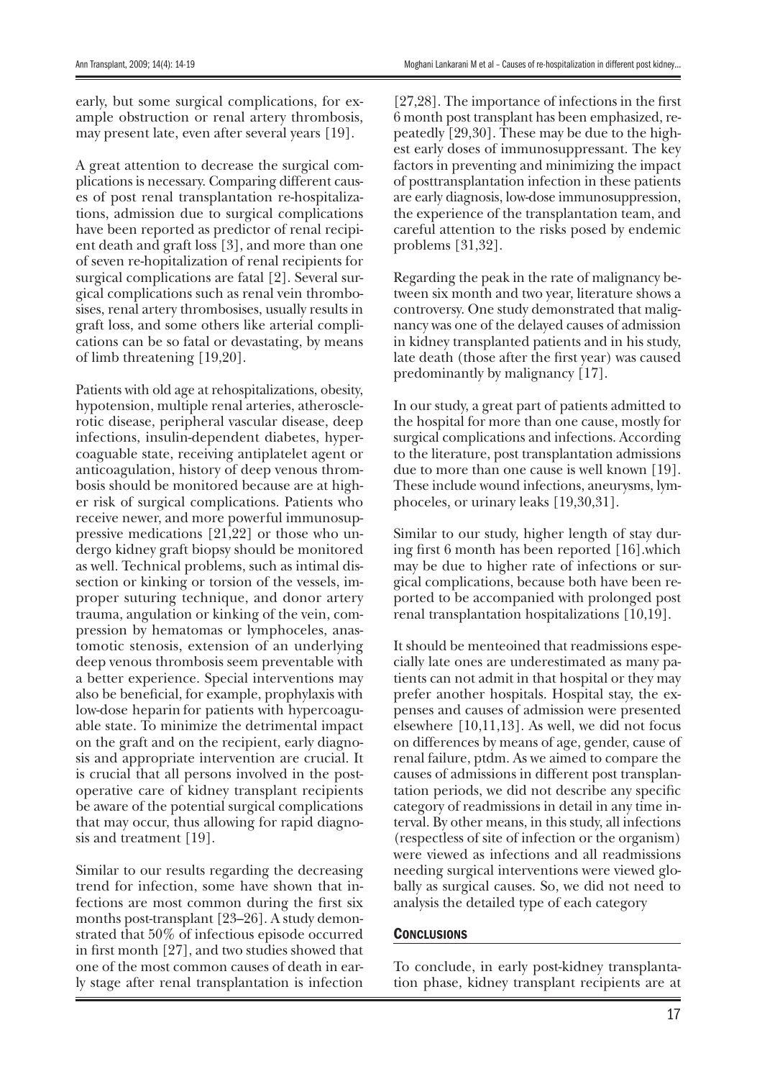early, but some surgical complications, for example obstruction or renal artery thrombosis, may present late, even after several years [19].

A great attention to decrease the surgical complications is necessary. Comparing different causes of post renal transplantation re-hospitalizations, admission due to surgical complications have been reported as predictor of renal recipient death and graft loss [3], and more than one of seven re-hopitalization of renal recipients for surgical complications are fatal [2]. Several surgical complications such as renal vein thrombosises, renal artery thrombosises, usually results in graft loss, and some others like arterial complications can be so fatal or devastating, by means of limb threatening [19,20].

Patients with old age at rehospitalizations, obesity, hypotension, multiple renal arteries, atherosclerotic disease, peripheral vascular disease, deep infections, insulin-dependent diabetes, hypercoaguable state, receiving antiplatelet agent or anticoagulation, history of deep venous thrombosis should be monitored because are at higher risk of surgical complications. Patients who receive newer, and more powerful immunosuppressive medications [21,22] or those who undergo kidney graft biopsy should be monitored as well. Technical problems, such as intimal dissection or kinking or torsion of the vessels, improper suturing technique, and donor artery trauma, angulation or kinking of the vein, compression by hematomas or lymphoceles, anastomotic stenosis, extension of an underlying deep venous thrombosis seem preventable with a better experience. Special interventions may also be beneficial, for example, prophylaxis with low-dose heparin for patients with hypercoaguable state. To minimize the detrimental impact on the graft and on the recipient, early diagnosis and appropriate intervention are crucial. It is crucial that all persons involved in the postoperative care of kidney transplant recipients be aware of the potential surgical complications that may occur, thus allowing for rapid diagnosis and treatment [19].

Similar to our results regarding the decreasing trend for infection, some have shown that infections are most common during the first six months post-transplant [23–26]. A study demonstrated that 50% of infectious episode occurred in first month [27], and two studies showed that one of the most common causes of death in early stage after renal transplantation is infection

[27,28]. The importance of infections in the first 6 month post transplant has been emphasized, repeatedly [29,30]. These may be due to the highest early doses of immunosuppressant. The key factors in preventing and minimizing the impact of posttransplantation infection in these patients are early diagnosis, low-dose immunosuppression, the experience of the transplantation team, and careful attention to the risks posed by endemic problems [31,32].

Regarding the peak in the rate of malignancy between six month and two year, literature shows a controversy. One study demonstrated that malignancy was one of the delayed causes of admission in kidney transplanted patients and in his study, late death (those after the first year) was caused predominantly by malignancy [17].

In our study, a great part of patients admitted to the hospital for more than one cause, mostly for surgical complications and infections. According to the literature, post transplantation admissions due to more than one cause is well known [19]. These include wound infections, aneurysms, lymphoceles, or urinary leaks [19,30,31].

Similar to our study, higher length of stay during first 6 month has been reported [16].which may be due to higher rate of infections or surgical complications, because both have been reported to be accompanied with prolonged post renal transplantation hospitalizations [10,19].

It should be menteoined that readmissions especially late ones are underestimated as many patients can not admit in that hospital or they may prefer another hospitals. Hospital stay, the expenses and causes of admission were presented elsewhere [10,11,13]. As well, we did not focus on differences by means of age, gender, cause of renal failure, ptdm. As we aimed to compare the causes of admissions in different post transplantation periods, we did not describe any specific category of readmissions in detail in any time interval. By other means, in this study, all infections (respectless of site of infection or the organism) were viewed as infections and all readmissions needing surgical interventions were viewed globally as surgical causes. So, we did not need to analysis the detailed type of each category

#### **CONCLUSIONS**

To conclude, in early post-kidney transplantation phase, kidney transplant recipients are at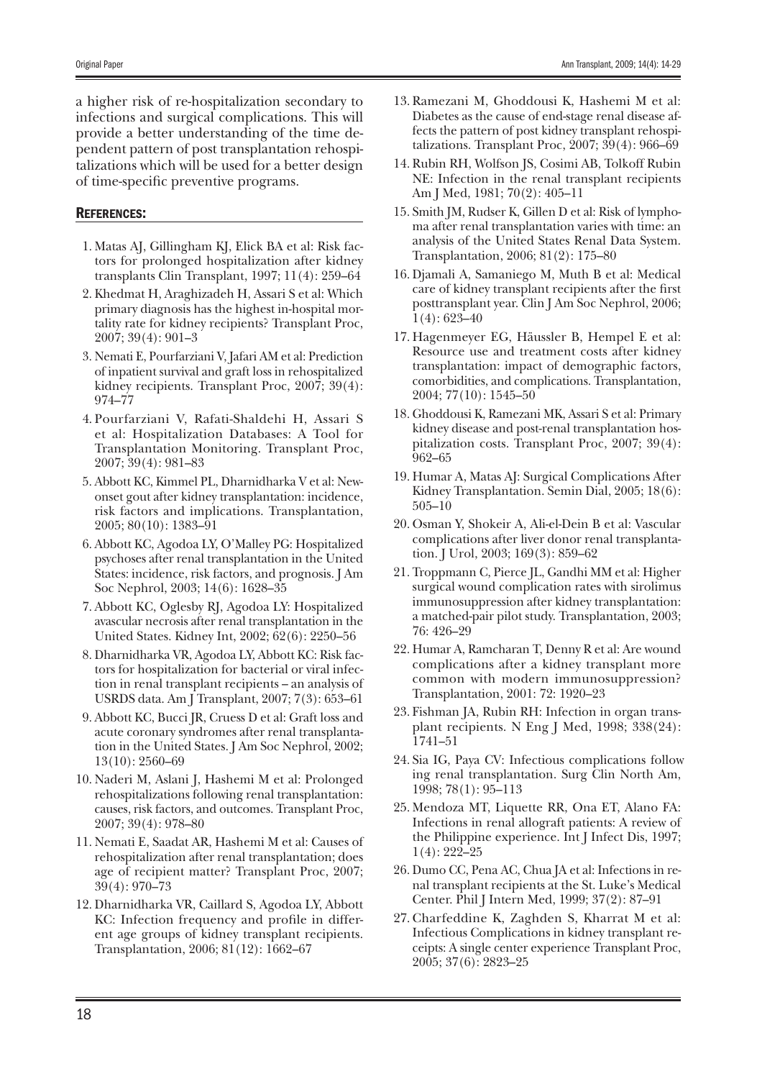a higher risk of re-hospitalization secondary to infections and surgical complications. This will provide a better understanding of the time dependent pattern of post transplantation rehospitalizations which will be used for a better design of time-specific preventive programs.

## References:

- 1. Matas AJ, Gillingham KJ, Elick BA et al: Risk factors for prolonged hospitalization after kidney transplants Clin Transplant, 1997; 11(4): 259–64
- 2. Khedmat H, Araghizadeh H, Assari S et al: Which primary diagnosis has the highest in-hospital mortality rate for kidney recipients? Transplant Proc, 2007; 39(4): 901–3
- 3. Nemati E, Pourfarziani V, Jafari AM et al: Prediction of inpatient survival and graft loss in rehospitalized kidney recipients. Transplant Proc, 2007; 39(4): 974–77
- 4. Pourfarziani V, Rafati-Shaldehi H, Assari S et al: Hospitalization Databases: A Tool for Transplantation Monitoring. Transplant Proc, 2007; 39(4): 981–83
- 5. Abbott KC, Kimmel PL, Dharnidharka V et al: Newonset gout after kidney transplantation: incidence, risk factors and implications. Transplantation, 2005; 80(10): 1383–91
- 6. Abbott KC, Agodoa LY, O'Malley PG: Hospitalized psychoses after renal transplantation in the United States: incidence, risk factors, and prognosis. J Am Soc Nephrol, 2003; 14(6): 1628–35
- 7. Abbott KC, Oglesby RJ, Agodoa LY: Hospitalized avascular necrosis after renal transplantation in the United States. Kidney Int, 2002; 62(6): 2250–56
- 8. Dharnidharka VR, Agodoa LY, Abbott KC: Risk factors for hospitalization for bacterial or viral infection in renal transplant recipients – an analysis of USRDS data. Am J Transplant, 2007; 7(3): 653–61
- 9. Abbott KC, Bucci JR, Cruess D et al: Graft loss and acute coronary syndromes after renal transplantation in the United States. J Am Soc Nephrol, 2002; 13(10): 2560–69
- 10. Naderi M, Aslani J, Hashemi M et al: Prolonged rehospitalizations following renal transplantation: causes, risk factors, and outcomes. Transplant Proc, 2007; 39(4): 978–80
- 11. Nemati E, Saadat AR, Hashemi M et al: Causes of rehospitalization after renal transplantation; does age of recipient matter? Transplant Proc, 2007; 39(4): 970–73
- 12. Dharnidharka VR, Caillard S, Agodoa LY, Abbott KC: Infection frequency and profile in different age groups of kidney transplant recipients. Transplantation, 2006; 81(12): 1662–67
- 13. Ramezani M, Ghoddousi K, Hashemi M et al: Diabetes as the cause of end-stage renal disease affects the pattern of post kidney transplant rehospitalizations. Transplant Proc, 2007; 39(4): 966–69
- 14. Rubin RH, Wolfson JS, Cosimi AB, Tolkoff Rubin NE: Infection in the renal transplant recipients Am J Med, 1981; 70(2): 405–11
- 15. Smith JM, Rudser K, Gillen D et al: Risk of lymphoma after renal transplantation varies with time: an analysis of the United States Renal Data System. Transplantation, 2006; 81(2): 175–80
- 16. Djamali A, Samaniego M, Muth B et al: Medical care of kidney transplant recipients after the first posttransplant year. Clin J Am Soc Nephrol, 2006; 1(4): 623–40
- 17. Hagenmeyer EG, Häussler B, Hempel E et al: Resource use and treatment costs after kidney transplantation: impact of demographic factors, comorbidities, and complications. Transplantation, 2004; 77(10): 1545–50
- 18. Ghoddousi K, Ramezani MK, Assari S et al: Primary kidney disease and post-renal transplantation hospitalization costs. Transplant Proc, 2007; 39(4): 962–65
- 19. Humar A, Matas AJ: Surgical Complications After Kidney Transplantation. Semin Dial, 2005; 18(6): 505–10
- 20. Osman Y, Shokeir A, Ali-el-Dein B et al: Vascular complications after liver donor renal transplantation. J Urol, 2003; 169(3): 859–62
- 21. Troppmann C, Pierce JL, Gandhi MM et al: Higher surgical wound complication rates with sirolimus immunosuppression after kidney transplantation: a matched-pair pilot study. Transplantation, 2003; 76: 426–29
- 22. Humar A, Ramcharan T, Denny R et al: Are wound complications after a kidney transplant more common with modern immunosuppression? Transplantation, 2001: 72: 1920–23
- 23. Fishman JA, Rubin RH: Infection in organ transplant recipients. N Eng J Med, 1998; 338(24): 1741–51
- 24. Sia IG, Paya CV: Infectious complications follow ing renal transplantation. Surg Clin North Am, 1998; 78(1): 95–113
- 25. Mendoza MT, Liquette RR, Ona ET, Alano FA: Infections in renal allograft patients: A review of the Philippine experience. Int J Infect Dis, 1997; 1(4): 222–25
- 26. Dumo CC, Pena AC, Chua JA et al: Infections in renal transplant recipients at the St. Luke's Medical Center. Phil J Intern Med, 1999; 37(2): 87–91
- 27. Charfeddine K, Zaghden S, Kharrat M et al: Infectious Complications in kidney transplant receipts: A single center experience Transplant Proc, 2005; 37(6): 2823–25